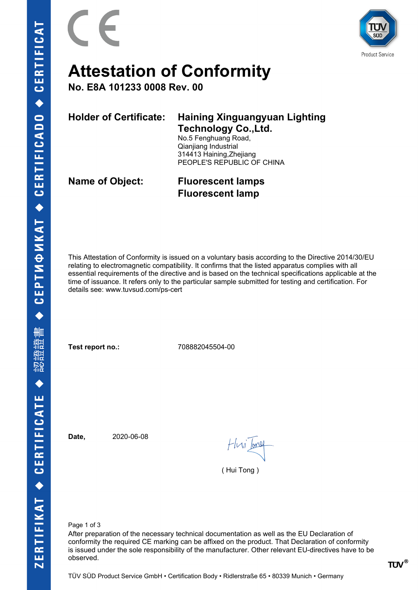



# **Attestation of Conformity**

**No. E8A 101233 0008 Rev. 00**

|  | Holder of Certificate: Haining Xinguangyuan Lighting |
|--|------------------------------------------------------|
|  | <b>Technology Co., Ltd.</b>                          |

No.5 Fenghuang Road, Qianjiang Industrial 314413 Haining,Zhejiang PEOPLE'S REPUBLIC OF CHINA

**Name of Object: Fluorescent lamps Fluorescent lamp**

This Attestation of Conformity is issued on a voluntary basis according to the Directive 2014/30/EU relating to electromagnetic compatibility. It confirms that the listed apparatus complies with all essential requirements of the directive and is based on the technical specifications applicable at the time of issuance. It refers only to the particular sample submitted for testing and certification. For details see: www.tuvsud.com/ps-cert

**Test report no.:** 708882045504-00

**Date,** 2020-06-08

Hvi bol

( Hui Tong )

Page 1 of 3

After preparation of the necessary technical documentation as well as the EU Declaration of conformity the required CE marking can be affixed on the product. That Declaration of conformity is issued under the sole responsibility of the manufacturer. Other relevant EU-directives have to be observed.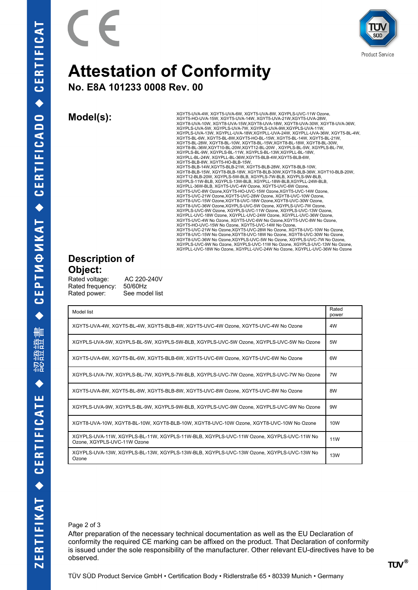

## **Attestation of Conformity**

**No. E8A 101233 0008 Rev. 00**

**Model(s):** XGYT5-UVA-4W, XGYT5-UVA-6W, XGYT5-UVA-8W, XGYT5-UVA-20WC-11W Ozone,<br>XGYT5-HO-UVA-15W, XGYT5-UVA-14W, XGYT5-UVA-21W, XGYT5-UVA-28W, XGYT8-UVA-10W, XGYT8-UVA-15W,XGYT8-UVA-18W, XGYT8-UVA-30W, XGYT8-UVA-36W, XGYPLS-UVA-5W, XGYPLS-UVA-7W, XGYPLS-UVA-9W,XGYPLS-UVA-11W, XGYPLS-UVA-13W, XGYPLL-UVA-18W,XGYPLL-UVA-24W, XGYPLL-UVA-36W, XGYT5-BL-4W, XGYT5-BL-6W, XGYT5-BL-8W,XGYT5-HO-BL-15W, XGYT5-BL-14W, XGYT5-BL-21W, XGYT5-BL-28W, XGYT8-BL-10W, XGYT8-BL-15W,XGYT8-BL-18W, XGYT8-BL-30W,<br>XGYT8-BL-36W,XGYT10-BL-20W,XGYT12-BL-20W , XGYPLS-BL-5W, XGYPLS-BL-7W,<br>XGYPLS-BL-9W, XGYPLS-BL-11W, XGYPLS-BL-13W,XGYPLL-BL-18W, XGYPLL-BL-24W, XGYPLL-BL-36W,XGYT5-BLB-4W,XGYT5-BLB-6W, XGYT5-BLB-8W, XGYT5-HO-BLB-15W,<br>XGYT5-BLB-14W,XGYT5-BLB-21W, XGYT5-BLB-28W, XGYT8-BLB-10W,<br>XGYT8-BLB-15W, XGYT8-BLB-18W, XGYT8-BLB-30W,XGYT8-BLB-36W, XGYT10-BLB-20W, XGYT12-BLB-20W, XGYPLS-5W-BLB, XGYPLS-7W-BLB, XGYPLS-9W-BLB, XGYPLS-11W-BLB, XGYPLS-13W-BLB, XGYPLL-18W-BLB,XGYPLL-24W-BLB, XGYPLL-36W-BLB, XGYT5-UVC-4W Ozone, XGYT5-UVC-6W Ozone, XGYT5-UVC-8W Ozone,XGYT5-HO-UVC-15W Ozone,XGYT5-UVC-14W Ozone, XGYT5-UVC-21W Ozone,XGYT5-UVC-28W Ozone, XGYT8-UVC-10W Ozone, XGYT8-UVC-15W Ozone,XGYT8-UVC-18W Ozone,XGYT8-UVC-30W Ozone, XGYT8-UVC-36W Ozone,XGYPLS-UVC-5W Ozone, XGYPLS-UVC-7W Ozone, XGYPLS-UVC-9W Ozone, XGYPLS-UVC-11W Ozone, XGYPLS-UVC-13W Ozone, XGYPLL-UVC-18W Ozone, XGYPLL-UVC-24W Ozone, XGYPLL-UVC-36W Ozone,<br>XGYT5-UVC-4W No Ozone, XGYT5-UVC-6W No Ozone,XGYT5-UVC-8W No Ozone,<br>XGYT5-HO-UVC-15W No Ozone, XGYT5-UVC-14W No Ozone, XGYT5-UVC-21W No Ozone,XGYT5-UVC-28W No Ozone, XGYT8-UVC-10W No Ozone, XGYT8-UVC-15W No Ozone,XGYT8-UVC-18W No Ozone, XGYT8-UVC-30W No Ozone, XGYT8-UVC-36W No Ozone,XGYPLS-UVC-5W No Ozone, XGYPLS-UVC-7W No Ozone, XGYPLS-UVC-9W No Ozone, XGYPLS-UVC-11W No Ozone, XGYPLS-UVC-13W No Ozone, XGYPLL-UVC-18W No Ozone, XGYPLL-UVC-24W No Ozone, XGYPLL-UVC-36W No Ozone

### **Description of Object:**

Rated voltage: AC 220-240V Rated frequency: 50/60Hz Rated power: See model list

| Model list                                                                                                            |    |
|-----------------------------------------------------------------------------------------------------------------------|----|
| XGYT5-UVA-4W, XGYT5-BL-4W, XGYT5-BLB-4W, XGYT5-UVC-4W Ozone, XGYT5-UVC-4W No Ozone                                    |    |
| XGYPLS-UVA-5W, XGYPLS-BL-5W, XGYPLS-5W-BLB, XGYPLS-UVC-5W Ozone, XGYPLS-UVC-5W No Ozone                               | 5W |
| XGYT5-UVA-6W, XGYT5-BL-6W, XGYT5-BLB-6W, XGYT5-UVC-6W Ozone, XGYT5-UVC-6W No Ozone                                    | 6W |
| XGYPLS-UVA-7W, XGYPLS-BL-7W, XGYPLS-7W-BLB, XGYPLS-UVC-7W Ozone, XGYPLS-UVC-7W No Ozone                               |    |
| XGYT5-UVA-8W, XGYT5-BL-8W, XGYT5-BLB-8W, XGYT5-UVC-8W Ozone, XGYT5-UVC-8W No Ozone                                    | 8W |
| XGYPLS-UVA-9W, XGYPLS-BL-9W, XGYPLS-9W-BLB, XGYPLS-UVC-9W Ozone, XGYPLS-UVC-9W No Ozone                               |    |
| XGYT8-UVA-10W, XGYT8-BL-10W, XGYT8-BLB-10W, XGYT8-UVC-10W Ozone, XGYT8-UVC-10W No Ozone                               |    |
| XGYPLS-UVA-11W, XGYPLS-BL-11W, XGYPLS-11W-BLB, XGYPLS-UVC-11W Ozone, XGYPLS-UVC-11W No<br>Ozone, XGYPLS-UVC-11W Ozone |    |
| XGYPLS-UVA-13W, XGYPLS-BL-13W, XGYPLS-13W-BLB, XGYPLS-UVC-13W Ozone, XGYPLS-UVC-13W No<br>Ozone                       |    |

#### Page 2 of 3

After preparation of the necessary technical documentation as well as the EU Declaration of conformity the required CE marking can be affixed on the product. That Declaration of conformity is issued under the sole responsibility of the manufacturer. Other relevant EU-directives have to be observed.